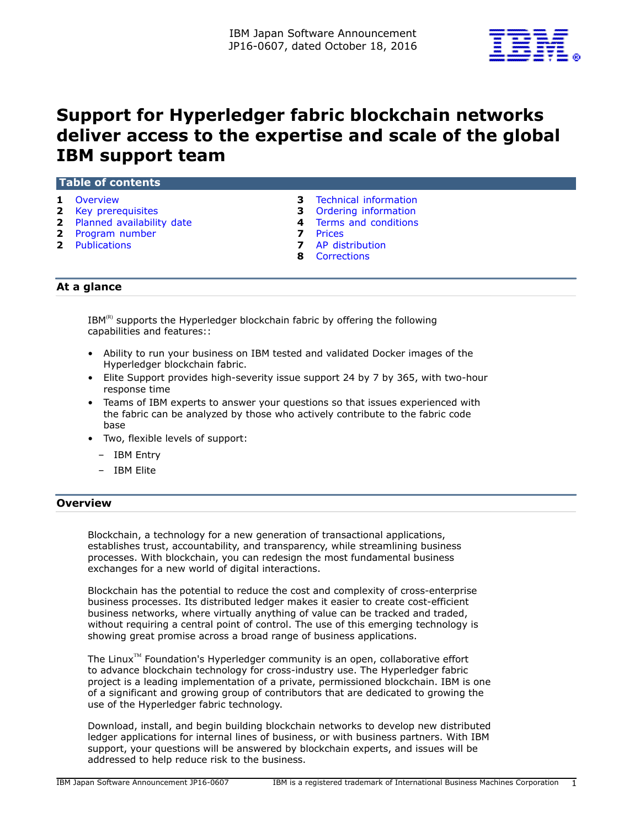

# **Support for Hyperledger fabric blockchain networks deliver access to the expertise and scale of the global IBM support team**

## **Table of contents**

- **1** [Overview](#page-0-0) **3** [Technical information](#page-2-0)
- **2** [Key prerequisites](#page-1-0) **3** [Ordering information](#page-2-1)
- **2** [Planned availability date](#page-1-1) **4** [Terms and conditions](#page-3-0)
- 
- 
- **2** [Program number](#page-1-2) **7** [Prices](#page-6-0)
- **2** [Publications](#page-1-3) **7** [AP distribution](#page-6-1)
	- **8** [Corrections](#page-7-0)

#### **At a glance**

 $IBM^{(R)}$  supports the Hyperledger blockchain fabric by offering the following capabilities and features::

- Ability to run your business on IBM tested and validated Docker images of the Hyperledger blockchain fabric.
- Elite Support provides high-severity issue support 24 by 7 by 365, with two-hour response time
- Teams of IBM experts to answer your questions so that issues experienced with the fabric can be analyzed by those who actively contribute to the fabric code base
- Two, flexible levels of support:
	- IBM Entry
	- IBM Elite

#### <span id="page-0-0"></span>**Overview**

Blockchain, a technology for a new generation of transactional applications, establishes trust, accountability, and transparency, while streamlining business processes. With blockchain, you can redesign the most fundamental business exchanges for a new world of digital interactions.

Blockchain has the potential to reduce the cost and complexity of cross-enterprise business processes. Its distributed ledger makes it easier to create cost-efficient business networks, where virtually anything of value can be tracked and traded, without requiring a central point of control. The use of this emerging technology is showing great promise across a broad range of business applications.

The Linux<sup> $TM$ </sup> Foundation's Hyperledger community is an open, collaborative effort to advance blockchain technology for cross-industry use. The Hyperledger fabric project is a leading implementation of a private, permissioned blockchain. IBM is one of a significant and growing group of contributors that are dedicated to growing the use of the Hyperledger fabric technology.

Download, install, and begin building blockchain networks to develop new distributed ledger applications for internal lines of business, or with business partners. With IBM support, your questions will be answered by blockchain experts, and issues will be addressed to help reduce risk to the business.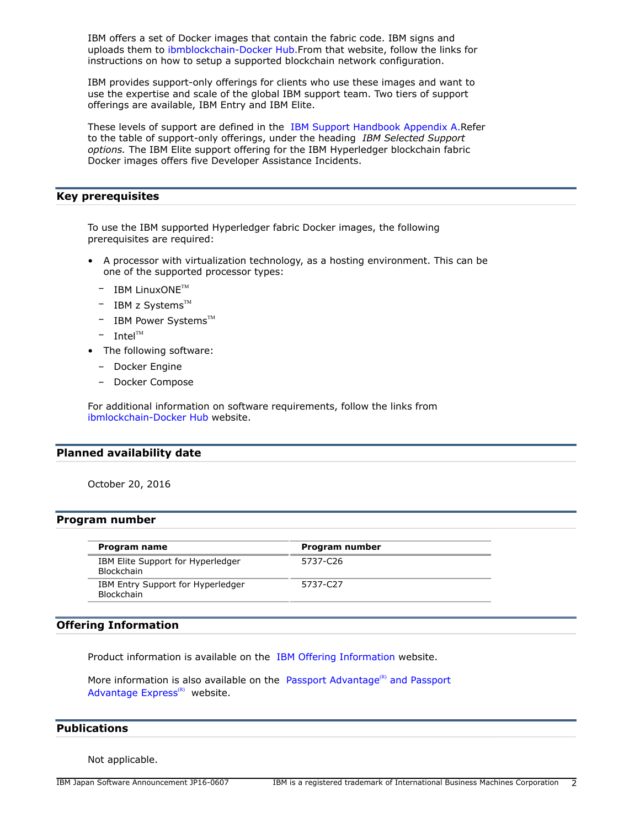IBM offers a set of Docker images that contain the fabric code. IBM signs and uploads them to [ibmblockchain-Docker Hub.F](https:/hub.docker.com/u/ibmblockchain/)rom that website, follow the links for instructions on how to setup a supported blockchain network configuration.

IBM provides support-only offerings for clients who use these images and want to use the expertise and scale of the global IBM support team. Two tiers of support offerings are available, IBM Entry and IBM Elite.

These levels of support are defined in the [IBM Support Handbook Appendix A.R](https://www.ibm.com/support/customercare/sas/f/handbook/appendixa.html)efer to the table of support-only offerings, under the heading *IBM Selected Support options.* The IBM Elite support offering for the IBM Hyperledger blockchain fabric Docker images offers five Developer Assistance Incidents.

## <span id="page-1-0"></span>**Key prerequisites**

To use the IBM supported Hyperledger fabric Docker images, the following prerequisites are required:

- A processor with virtualization technology, as a hosting environment. This can be one of the supported processor types:
	- $-$  IBM LinuxONE<sup>TM</sup>
	- $-$  IBM z Systems<sup>TM</sup>
	- $-$  IBM Power Systems<sup>TM</sup>
	- $-$  Intel<sup>TM</sup>
- The following software:
	- Docker Engine
	- Docker Compose

For additional information on software requirements, follow the links from [ibmlockchain-Docker Hub](https://hub.docker.com/u/ibmblockchain/) website.

#### <span id="page-1-1"></span>**Planned availability date**

October 20, 2016

#### <span id="page-1-2"></span>**Program number**

| Program name                                    | Program number |
|-------------------------------------------------|----------------|
| IBM Elite Support for Hyperledger<br>Blockchain | 5737-C26       |
| IBM Entry Support for Hyperledger<br>Blockchain | 5737-C27       |

## **Offering Information**

Product information is available on the [IBM Offering Information](http://www.ibm.com/common/ssi) website.

More information is also available on the [Passport Advantage](http://www.ibm.com/software/passportadvantage)<sup>(R)</sup> and Passport [Advantage Express](http://www.ibm.com/software/passportadvantage) $(R)$  website.

## <span id="page-1-3"></span>**Publications**

Not applicable.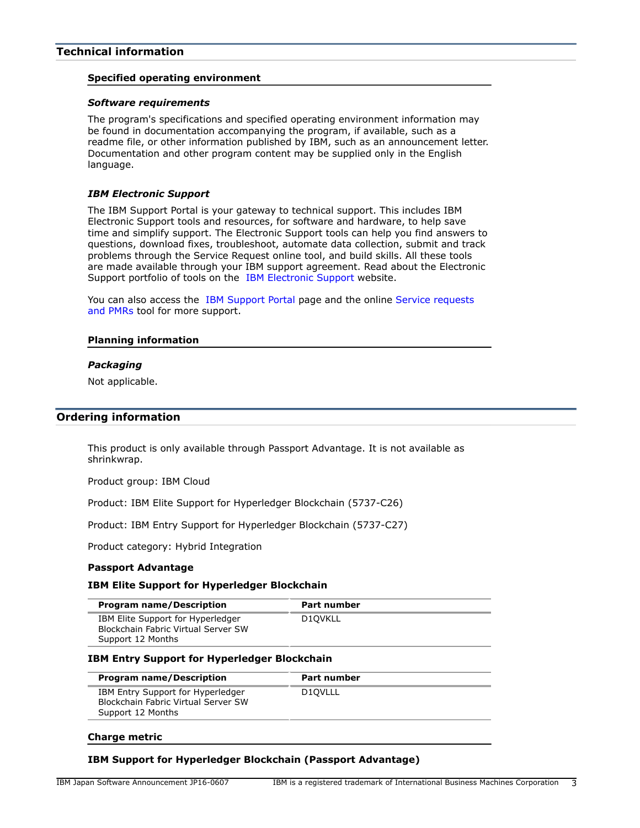# <span id="page-2-0"></span>**Technical information**

#### **Specified operating environment**

#### *Software requirements*

The program's specifications and specified operating environment information may be found in documentation accompanying the program, if available, such as a readme file, or other information published by IBM, such as an announcement letter. Documentation and other program content may be supplied only in the English language.

#### *IBM Electronic Support*

The IBM Support Portal is your gateway to technical support. This includes IBM Electronic Support tools and resources, for software and hardware, to help save time and simplify support. The Electronic Support tools can help you find answers to questions, download fixes, troubleshoot, automate data collection, submit and track problems through the Service Request online tool, and build skills. All these tools are made available through your IBM support agreement. Read about the Electronic Support portfolio of tools on the [IBM Electronic Support](http://www.ibm.com/support/entry/portal/support) website.

You can also access the [IBM Support Portal](https://www.ibm.com/support/entry/portal/support) page and the online [Service requests](http://www.ibm.com/support/servicerequest) [and PMRs](http://www.ibm.com/support/servicerequest) tool for more support.

#### **Planning information**

#### *Packaging*

Not applicable.

## <span id="page-2-1"></span>**Ordering information**

This product is only available through Passport Advantage. It is not available as shrinkwrap.

Product group: IBM Cloud

Product: IBM Elite Support for Hyperledger Blockchain (5737-C26)

Product: IBM Entry Support for Hyperledger Blockchain (5737-C27)

Product category: Hybrid Integration

#### **Passport Advantage**

#### **IBM Elite Support for Hyperledger Blockchain**

| <b>Program name/Description</b>                                                               | Part number |
|-----------------------------------------------------------------------------------------------|-------------|
| IBM Elite Support for Hyperledger<br>Blockchain Fabric Virtual Server SW<br>Support 12 Months | D10VKLL     |

#### **IBM Entry Support for Hyperledger Blockchain**

| IBM Entry Support for Hyperledger<br>D <sub>10</sub> VLLL<br>Blockchain Fabric Virtual Server SW<br>Support 12 Months | <b>Program name/Description</b> | Part number |
|-----------------------------------------------------------------------------------------------------------------------|---------------------------------|-------------|
|                                                                                                                       |                                 |             |

#### **Charge metric**

## **IBM Support for Hyperledger Blockchain (Passport Advantage)**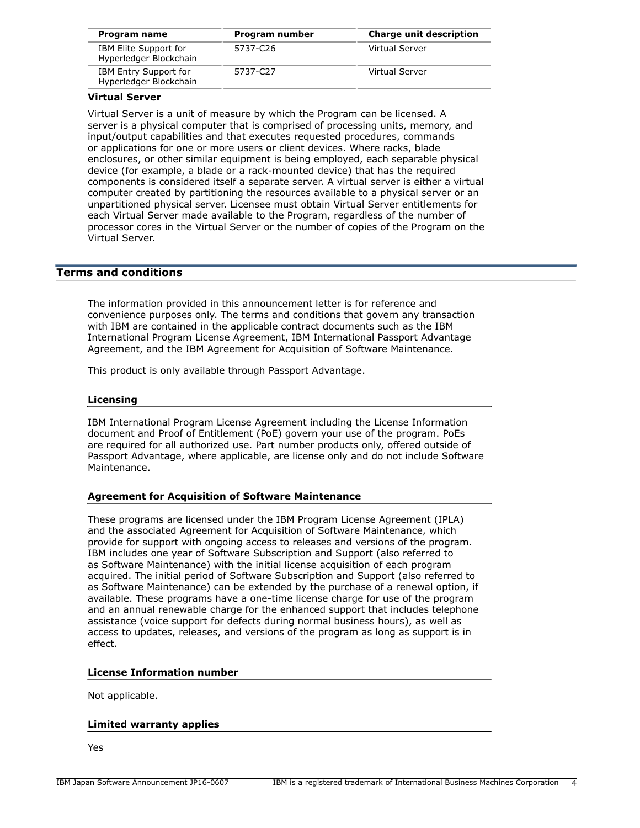| Program name                                    | Program number | <b>Charge unit description</b> |
|-------------------------------------------------|----------------|--------------------------------|
| IBM Elite Support for<br>Hyperledger Blockchain | 5737-C26       | Virtual Server                 |
| IBM Entry Support for<br>Hyperledger Blockchain | 5737-C27       | Virtual Server                 |

## **Virtual Server**

Virtual Server is a unit of measure by which the Program can be licensed. A server is a physical computer that is comprised of processing units, memory, and input/output capabilities and that executes requested procedures, commands or applications for one or more users or client devices. Where racks, blade enclosures, or other similar equipment is being employed, each separable physical device (for example, a blade or a rack-mounted device) that has the required components is considered itself a separate server. A virtual server is either a virtual computer created by partitioning the resources available to a physical server or an unpartitioned physical server. Licensee must obtain Virtual Server entitlements for each Virtual Server made available to the Program, regardless of the number of processor cores in the Virtual Server or the number of copies of the Program on the Virtual Server.

## <span id="page-3-0"></span>**Terms and conditions**

The information provided in this announcement letter is for reference and convenience purposes only. The terms and conditions that govern any transaction with IBM are contained in the applicable contract documents such as the IBM International Program License Agreement, IBM International Passport Advantage Agreement, and the IBM Agreement for Acquisition of Software Maintenance.

This product is only available through Passport Advantage.

#### **Licensing**

IBM International Program License Agreement including the License Information document and Proof of Entitlement (PoE) govern your use of the program. PoEs are required for all authorized use. Part number products only, offered outside of Passport Advantage, where applicable, are license only and do not include Software Maintenance.

#### **Agreement for Acquisition of Software Maintenance**

These programs are licensed under the IBM Program License Agreement (IPLA) and the associated Agreement for Acquisition of Software Maintenance, which provide for support with ongoing access to releases and versions of the program. IBM includes one year of Software Subscription and Support (also referred to as Software Maintenance) with the initial license acquisition of each program acquired. The initial period of Software Subscription and Support (also referred to as Software Maintenance) can be extended by the purchase of a renewal option, if available. These programs have a one-time license charge for use of the program and an annual renewable charge for the enhanced support that includes telephone assistance (voice support for defects during normal business hours), as well as access to updates, releases, and versions of the program as long as support is in effect.

#### **License Information number**

Not applicable.

#### **Limited warranty applies**

Yes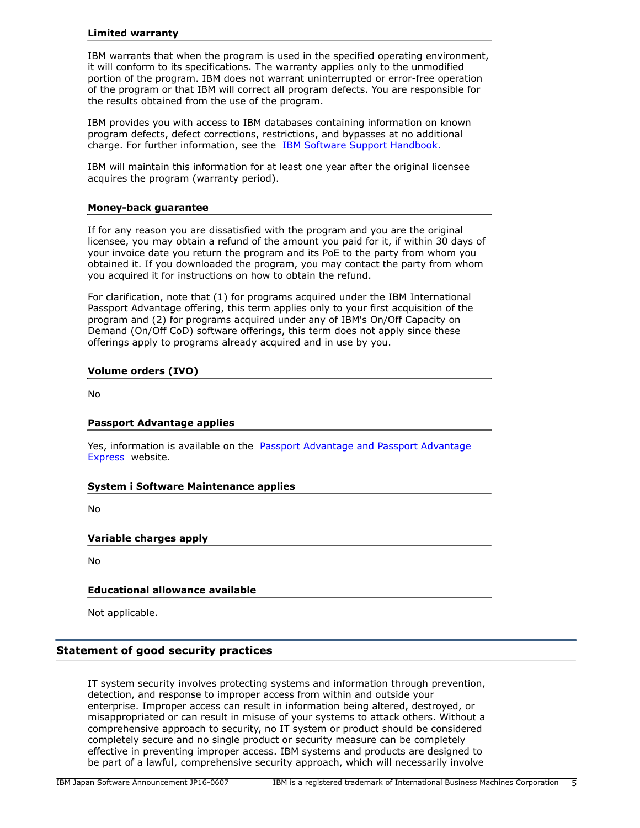#### **Limited warranty**

IBM warrants that when the program is used in the specified operating environment, it will conform to its specifications. The warranty applies only to the unmodified portion of the program. IBM does not warrant uninterrupted or error-free operation of the program or that IBM will correct all program defects. You are responsible for the results obtained from the use of the program.

IBM provides you with access to IBM databases containing information on known program defects, defect corrections, restrictions, and bypasses at no additional charge. For further information, see the [IBM Software Support Handbook.](http://www.ibm.com/support/customercare/sas/f/handbook/home.html)

IBM will maintain this information for at least one year after the original licensee acquires the program (warranty period).

## **Money-back guarantee**

If for any reason you are dissatisfied with the program and you are the original licensee, you may obtain a refund of the amount you paid for it, if within 30 days of your invoice date you return the program and its PoE to the party from whom you obtained it. If you downloaded the program, you may contact the party from whom you acquired it for instructions on how to obtain the refund.

For clarification, note that (1) for programs acquired under the IBM International Passport Advantage offering, this term applies only to your first acquisition of the program and (2) for programs acquired under any of IBM's On/Off Capacity on Demand (On/Off CoD) software offerings, this term does not apply since these offerings apply to programs already acquired and in use by you.

## **Volume orders (IVO)**

No

## **Passport Advantage applies**

Yes, information is available on the [Passport Advantage and Passport Advantage](http://www.ibm.com/software/passportadvantage) [Express](http://www.ibm.com/software/passportadvantage) website.

## **System i Software Maintenance applies**

No

## **Variable charges apply**

No

## **Educational allowance available**

Not applicable.

## **Statement of good security practices**

IT system security involves protecting systems and information through prevention, detection, and response to improper access from within and outside your enterprise. Improper access can result in information being altered, destroyed, or misappropriated or can result in misuse of your systems to attack others. Without a comprehensive approach to security, no IT system or product should be considered completely secure and no single product or security measure can be completely effective in preventing improper access. IBM systems and products are designed to be part of a lawful, comprehensive security approach, which will necessarily involve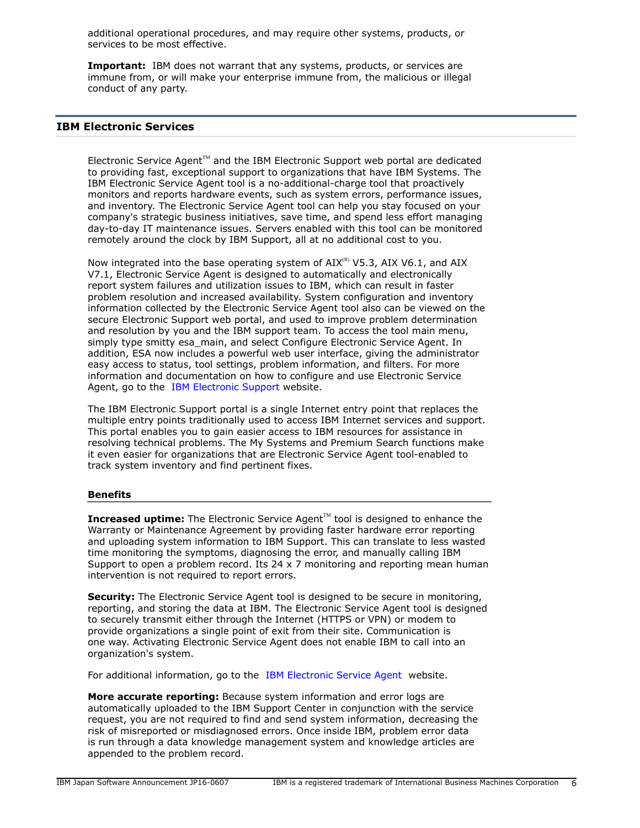additional operational procedures, and may require other systems, products, or services to be most effective.

**Important:** IBM does not warrant that any systems, products, or services are immune from, or will make your enterprise immune from, the malicious or illegal conduct of any party.

# **IBM Electronic Services**

Electronic Service Agent $T^M$  and the IBM Electronic Support web portal are dedicated to providing fast, exceptional support to organizations that have IBM Systems. The IBM Electronic Service Agent tool is a no-additional-charge tool that proactively monitors and reports hardware events, such as system errors, performance issues, and inventory. The Electronic Service Agent tool can help you stay focused on your company's strategic business initiatives, save time, and spend less effort managing day-to-day IT maintenance issues. Servers enabled with this tool can be monitored remotely around the clock by IBM Support, all at no additional cost to you.

Now integrated into the base operating system of  $AIX^{(R)}$  V5.3, AIX V6.1, and AIX V7.1, Electronic Service Agent is designed to automatically and electronically report system failures and utilization issues to IBM, which can result in faster problem resolution and increased availability. System configuration and inventory information collected by the Electronic Service Agent tool also can be viewed on the secure Electronic Support web portal, and used to improve problem determination and resolution by you and the IBM support team. To access the tool main menu, simply type smitty esa\_main, and select Configure Electronic Service Agent. In addition, ESA now includes a powerful web user interface, giving the administrator easy access to status, tool settings, problem information, and filters. For more information and documentation on how to configure and use Electronic Service Agent, go to the [IBM Electronic Support](http://www.ibm.com/support/electronic) website.

The IBM Electronic Support portal is a single Internet entry point that replaces the multiple entry points traditionally used to access IBM Internet services and support. This portal enables you to gain easier access to IBM resources for assistance in resolving technical problems. The My Systems and Premium Search functions make it even easier for organizations that are Electronic Service Agent tool-enabled to track system inventory and find pertinent fixes.

## **Benefits**

**Increased uptime:** The Electronic Service Agent™ tool is designed to enhance the Warranty or Maintenance Agreement by providing faster hardware error reporting and uploading system information to IBM Support. This can translate to less wasted time monitoring the symptoms, diagnosing the error, and manually calling IBM Support to open a problem record. Its 24  $\times$  7 monitoring and reporting mean human intervention is not required to report errors.

**Security:** The Electronic Service Agent tool is designed to be secure in monitoring, reporting, and storing the data at IBM. The Electronic Service Agent tool is designed to securely transmit either through the Internet (HTTPS or VPN) or modem to provide organizations a single point of exit from their site. Communication is one way. Activating Electronic Service Agent does not enable IBM to call into an organization's system.

For additional information, go to the [IBM Electronic Service Agent](http://www.ibm.com/support/esa) website.

**More accurate reporting:** Because system information and error logs are automatically uploaded to the IBM Support Center in conjunction with the service request, you are not required to find and send system information, decreasing the risk of misreported or misdiagnosed errors. Once inside IBM, problem error data is run through a data knowledge management system and knowledge articles are appended to the problem record.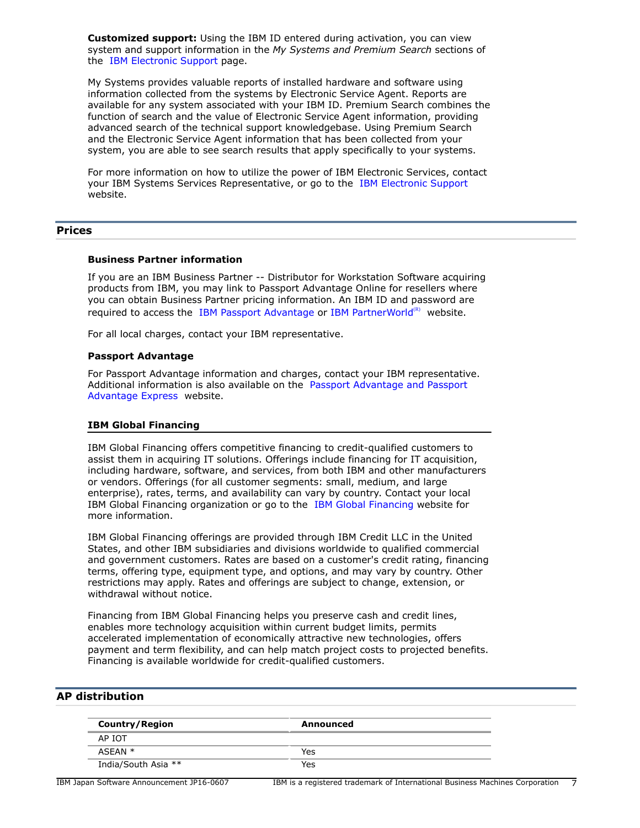**Customized support:** Using the IBM ID entered during activation, you can view system and support information in the *My Systems and Premium Search* sections of the [IBM Electronic Support](http://www.ibm.com/support/electronic) page.

My Systems provides valuable reports of installed hardware and software using information collected from the systems by Electronic Service Agent. Reports are available for any system associated with your IBM ID. Premium Search combines the function of search and the value of Electronic Service Agent information, providing advanced search of the technical support knowledgebase. Using Premium Search and the Electronic Service Agent information that has been collected from your system, you are able to see search results that apply specifically to your systems.

For more information on how to utilize the power of IBM Electronic Services, contact your IBM Systems Services Representative, or go to the [IBM Electronic Support](http://www.ibm.com/support/electronic) website.

# <span id="page-6-0"></span>**Prices**

#### **Business Partner information**

If you are an IBM Business Partner -- Distributor for Workstation Software acquiring products from IBM, you may link to Passport Advantage Online for resellers where you can obtain Business Partner pricing information. An IBM ID and password are required to access the [IBM Passport Advantage o](https://www.ibm.com/software/howtobuy/passportadvantage/paoreseller)[r IBM PartnerWorld](http://www.ibm.com/partnerworld/sg/apchannounce/) $^{(R)}$  website.

For all local charges, contact your IBM representative.

#### **Passport Advantage**

For Passport Advantage information and charges, contact your IBM representative. Additional information is also available on the [Passport Advantage and Passport](http://www.ibm.com/software/passportadvantage) [Advantage Express](http://www.ibm.com/software/passportadvantage) website.

#### **IBM Global Financing**

IBM Global Financing offers competitive financing to credit-qualified customers to assist them in acquiring IT solutions. Offerings include financing for IT acquisition, including hardware, software, and services, from both IBM and other manufacturers or vendors. Offerings (for all customer segments: small, medium, and large enterprise), rates, terms, and availability can vary by country. Contact your local IBM Global Financing organization or go to the [IBM Global Financing](http://www.ibm.com/financing) website for more information.

IBM Global Financing offerings are provided through IBM Credit LLC in the United States, and other IBM subsidiaries and divisions worldwide to qualified commercial and government customers. Rates are based on a customer's credit rating, financing terms, offering type, equipment type, and options, and may vary by country. Other restrictions may apply. Rates and offerings are subject to change, extension, or withdrawal without notice.

Financing from IBM Global Financing helps you preserve cash and credit lines, enables more technology acquisition within current budget limits, permits accelerated implementation of economically attractive new technologies, offers payment and term flexibility, and can help match project costs to projected benefits. Financing is available worldwide for credit-qualified customers.

# <span id="page-6-1"></span>**AP distribution**

| <b>Country/Region</b> | Announced |  |
|-----------------------|-----------|--|
| AP IOT                |           |  |
| ASEAN *               | Yes       |  |
| India/South Asia **   | Yes       |  |